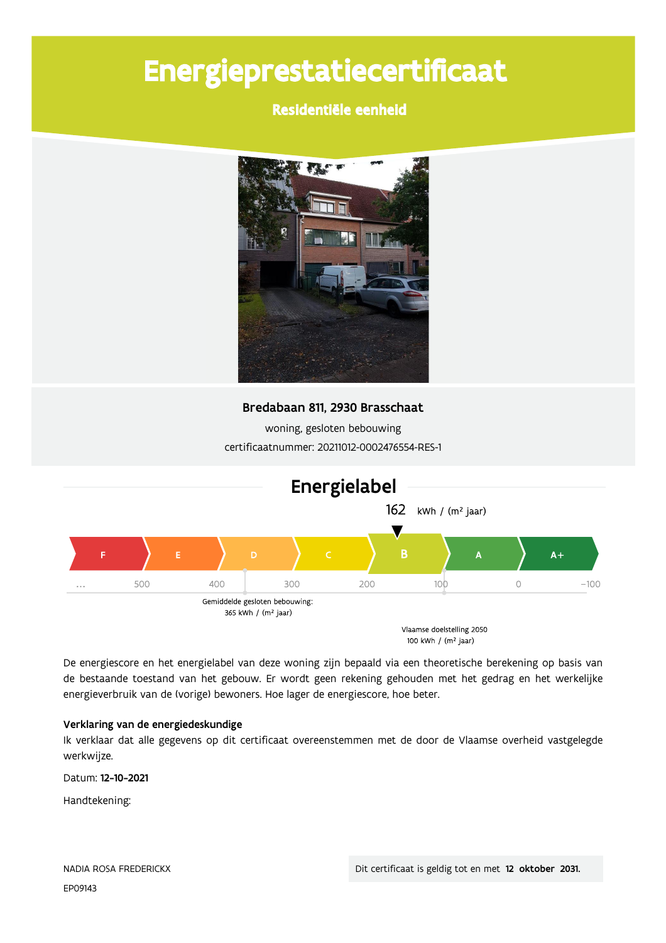# Energieprestatiecertificaat

# Residentiële eenheid



Bredabaan 811, 2930 Brasschaat

woning, gesloten bebouwing certificaatnummer: 20211012-0002476554-RES-1



De energiescore en het energielabel van deze woning zijn bepaald via een theoretische berekening op basis van de bestaande toestand van het gebouw. Er wordt geen rekening gehouden met het gedrag en het werkelijke energieverbruik van de (vorige) bewoners. Hoe lager de energiescore, hoe beter.

### Verklaring van de energiedeskundige

Ik verklaar dat alle gegevens op dit certificaat overeenstemmen met de door de Vlaamse overheid vastgelegde werkwijze.

Datum: 12-10-2021

Handtekening: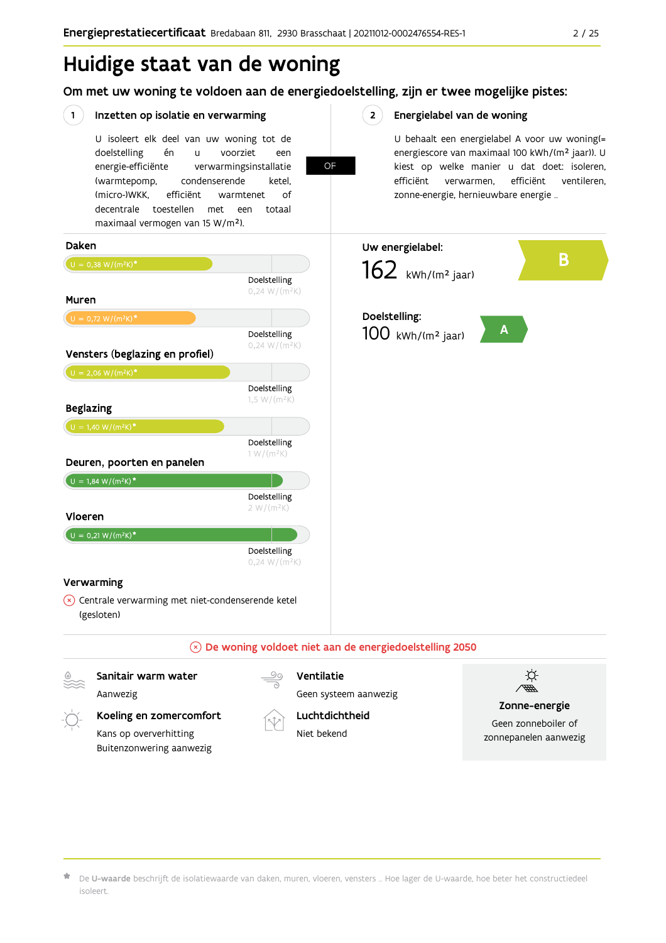# Huidige staat van de woning

Om met uw woning te voldoen aan de energiedoelstelling, zijn er twee mogelijke pistes:

**OF** 

#### $(1)$ Inzetten op isolatie en verwarming

Buitenzonwering aanwezig

U isoleert elk deel van uw woning tot de voorziet doelstelling én  $\mathbf{u}$ een energie-efficiënte verwarmingsinstallatie (warmtepomp, condenserende ketel. (micro-)WKK. efficiënt warmtenet  $\bigcap_{ }$ decentrale toestellen met een totaal maximaal vermogen van 15 W/m<sup>2</sup>).

#### $2^{\circ}$ Energielabel van de woning

U behaalt een energielabel A voor uw woning(= energiescore van maximaal 100 kWh/(m<sup>2</sup> jaar)). U kiest op welke manier u dat doet: isoleren, efficiënt ventileren, efficiënt verwarmen, zonne-energie, hernieuwbare energie ...



De U-waarde beschrijft de isolatiewaarde van daken, muren, vloeren, vensters ... Hoe lager de U-waarde, hoe beter het constructiedeel isoleert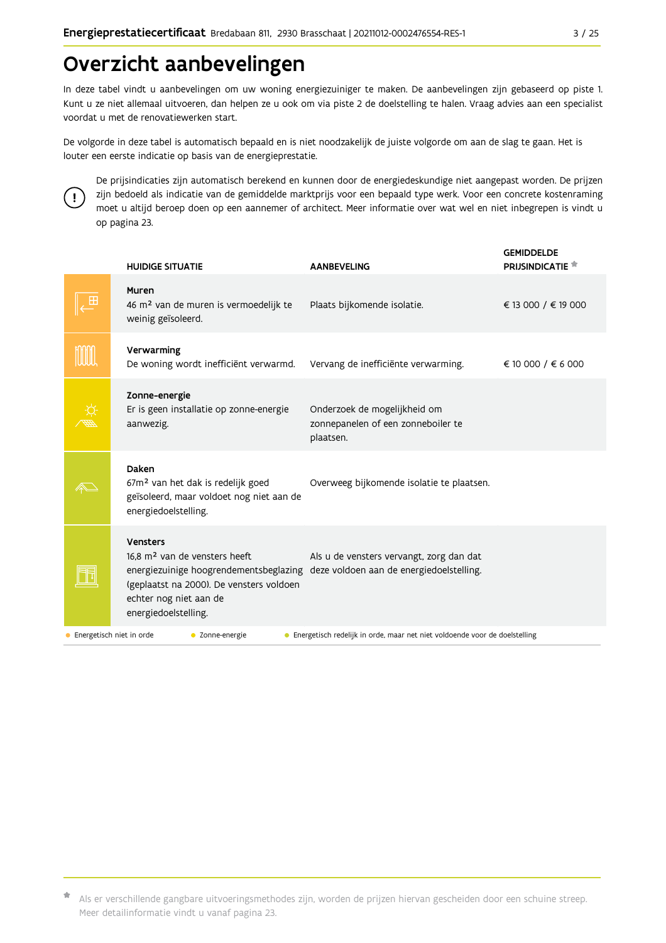# Overzicht aanbevelingen

In deze tabel vindt u aanbevelingen om uw woning energiezuiniger te maken. De aanbevelingen zijn gebaseerd op piste 1. Kunt u ze niet allemaal uitvoeren, dan helpen ze u ook om via piste 2 de doelstelling te halen. Vraag advies aan een specialist voordat u met de renovatiewerken start.

De volgorde in deze tabel is automatisch bepaald en is niet noodzakelijk de juiste volgorde om aan de slag te gaan. Het is louter een eerste indicatie op basis van de energieprestatie.



De prijsindicaties zijn automatisch berekend en kunnen door de energiedeskundige niet aangepast worden. De prijzen zijn bedoeld als indicatie van de gemiddelde marktprijs voor een bepaald type werk. Voor een concrete kostenraming moet u altijd beroep doen op een aannemer of architect. Meer informatie over wat wel en niet inbegrepen is vindt u op pagina 23.

|                          | <b>HUIDIGE SITUATIE</b>                                                                                                                                                                              | <b>AANBEVELING</b>                                                                   | <b>GEMIDDELDE</b><br><b>PRIJSINDICATIE</b> |
|--------------------------|------------------------------------------------------------------------------------------------------------------------------------------------------------------------------------------------------|--------------------------------------------------------------------------------------|--------------------------------------------|
|                          | Muren<br>46 m <sup>2</sup> van de muren is vermoedelijk te<br>weinig geïsoleerd.                                                                                                                     | Plaats bijkomende isolatie.                                                          | € 13 000 / € 19 000                        |
|                          | Verwarming<br>De woning wordt inefficiënt verwarmd.                                                                                                                                                  | Vervang de inefficiënte verwarming.                                                  | € 10 000 / € 6 000                         |
|                          | Zonne-energie<br>Er is geen installatie op zonne-energie<br>aanwezig.                                                                                                                                | Onderzoek de mogelijkheid om<br>zonnepanelen of een zonneboiler te<br>plaatsen.      |                                            |
|                          | Daken<br>67m <sup>2</sup> van het dak is redelijk goed<br>geïsoleerd, maar voldoet nog niet aan de<br>energiedoelstelling.                                                                           | Overweeg bijkomende isolatie te plaatsen.                                            |                                            |
|                          | <b>Vensters</b><br>16.8 m <sup>2</sup> van de vensters heeft<br>energiezuinige hoogrendementsbeglazing<br>(geplaatst na 2000). De vensters voldoen<br>echter nog niet aan de<br>energiedoelstelling. | Als u de vensters vervangt, zorg dan dat<br>deze voldoen aan de energiedoelstelling. |                                            |
| Energetisch niet in orde | C Zonne-energie                                                                                                                                                                                      | • Energetisch redelijk in orde, maar net niet voldoende voor de doelstelling         |                                            |

Als er verschillende gangbare uitvoeringsmethodes zijn, worden de prijzen hiervan gescheiden door een schuine streep. Meer detailinformatie vindt u vanaf pagina 23.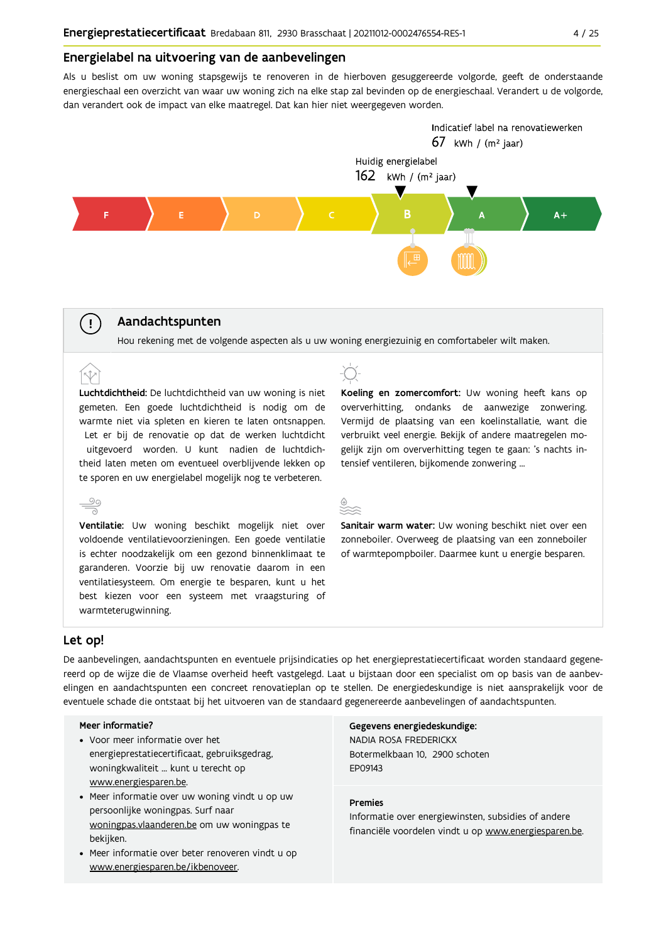#### Energielabel na uitvoering van de aanbevelingen

Als u beslist om uw woning stapsgewijs te renoveren in de hierboven gesuggereerde volgorde, geeft de onderstaande energieschaal een overzicht van waar uw woning zich na elke stap zal bevinden op de energieschaal. Verandert u de volgorde, dan verandert ook de impact van elke maatregel. Dat kan hier niet weergegeven worden.



### Aandachtspunten



Luchtdichtheid: De luchtdichtheid van uw woning is niet gemeten. Een goede luchtdichtheid is nodig om de warmte niet via spleten en kieren te laten ontsnappen. Let er bij de renovatie op dat de werken luchtdicht uitgevoerd worden. U kunt nadien de luchtdichtheid laten meten om eventueel overblijvende lekken op te sporen en uw energielabel mogelijk nog te verbeteren.



Ventilatie: Uw woning beschikt mogelijk niet over voldoende ventilatievoorzieningen. Een goede ventilatie is echter noodzakelijk om een gezond binnenklimaat te garanderen. Voorzie bij uw renovatie daarom in een ventilatiesysteem. Om energie te besparen, kunt u het best kiezen voor een systeem met vraagsturing of warmteterugwinning.



Koeling en zomercomfort: Uw woning heeft kans op oververhitting, ondanks de aanwezige zonwering. Vermijd de plaatsing van een koelinstallatie, want die verbruikt veel energie. Bekijk of andere maatregelen mogelijk zijn om oververhitting tegen te gaan: 's nachts intensief ventileren, bijkomende zonwering ...



Sanitair warm water: Uw woning beschikt niet over een zonneboiler. Overweeg de plaatsing van een zonneboiler of warmtepompboiler. Daarmee kunt u energie besparen.

### Let op!

 $(\bot)$ 

 $\hat{N}$ 

De aanbevelingen, aandachtspunten en eventuele prijsindicaties op het energieprestatiecertificaat worden standaard gegenereerd op de wijze die de Vlaamse overheid heeft vastgelegd. Laat u bijstaan door een specialist om op basis van de aanbevelingen en aandachtspunten een concreet renovatieplan op te stellen. De energiedeskundige is niet aansprakelijk voor de eventuele schade die ontstaat bij het uitvoeren van de standaard gegenereerde aanbevelingen of aandachtspunten.

#### Meer informatie?

- Voor meer informatie over het energieprestatiecertificaat, gebruiksgedrag, woningkwaliteit ... kunt u terecht op www.energiesparen.be.
- Meer informatie over uw woning vindt u op uw persoonlijke woningpas. Surf naar woningpas.vlaanderen.be om uw woningpas te bekijken.
- Meer informatie over beter renoveren vindt u op www.energiesparen.be/ikbenoveer.

Gegevens energiedeskundige: NADIA ROSA FREDERICKX Botermelkbaan 10. 2900 schoten FP09143

#### **Premies**

Informatie over energiewinsten, subsidies of andere financiële voordelen vindt u op www.energiesparen.be.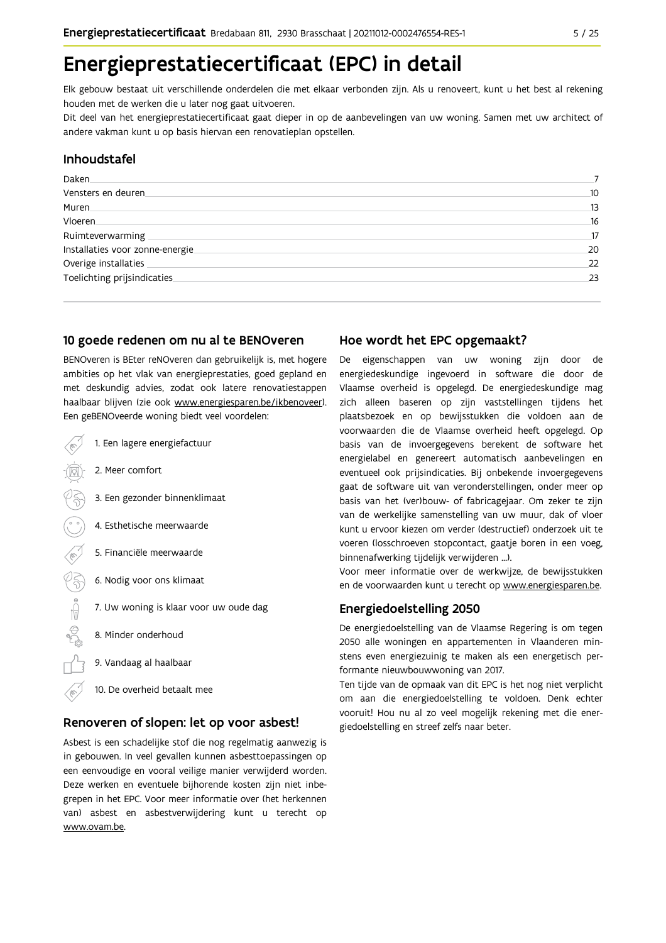# Energieprestatiecertificaat (EPC) in detail

Elk gebouw bestaat uit verschillende onderdelen die met elkaar verbonden zijn. Als u renoveert, kunt u het best al rekening houden met de werken die u later nog gaat uitvoeren.

Dit deel van het energieprestatiecertificaat gaat dieper in op de aanbevelingen van uw woning. Samen met uw architect of andere vakman kunt u op basis hiervan een renovatieplan opstellen.

## Inhoudstafel

| Daken.                           |    |
|----------------------------------|----|
| Vensters en deuren.              | 10 |
| Muren.                           | 13 |
| Vloeren                          | 16 |
| Ruimteverwarming                 | 17 |
| Installaties voor zonne-energie. | 20 |
| Overige installaties             | 22 |
| Toelichting prijsindicaties      | 23 |
|                                  |    |

#### 10 goede redenen om nu al te BENOveren

BENOveren is BEter reNOveren dan gebruikelijk is, met hogere ambities op het vlak van energieprestaties, goed gepland en met deskundig advies, zodat ook latere renovatiestappen haalbaar blijven (zie ook www.energiesparen.be/ikbenoveer). Een geBENOveerde woning biedt veel voordelen:

- 1. Een lagere energiefactuur 2. Meer comfort 3. Een gezonder binnenklimaat 4. Esthetische meerwaarde 5. Financiële meerwaarde  $\frac{1}{2}$ 6. Nodig voor ons klimaat 7. Uw woning is klaar voor uw oude dag 8. Minder onderhoud 9. Vandaag al haalbaar
	- 10. De overheid betaalt mee

### Renoveren of slopen: let op voor asbest!

Asbest is een schadelijke stof die nog regelmatig aanwezig is in gebouwen. In veel gevallen kunnen asbesttoepassingen op een eenvoudige en vooral veilige manier verwijderd worden. Deze werken en eventuele bijhorende kosten zijn niet inbegrepen in het EPC. Voor meer informatie over (het herkennen van) asbest en asbestverwijdering kunt u terecht op www.ovam.be.

### Hoe wordt het EPC opgemaakt?

De eigenschappen van uw woning zijn door de energiedeskundige ingevoerd in software die door de Vlaamse overheid is opgelegd. De energiedeskundige mag zich alleen baseren op zijn vaststellingen tijdens het plaatsbezoek en op bewijsstukken die voldoen aan de voorwaarden die de Vlaamse overheid heeft opgelegd. Op basis van de invoergegevens berekent de software het energielabel en genereert automatisch aanbevelingen en eventueel ook prijsindicaties. Bij onbekende invoergegevens gaat de software uit van veronderstellingen, onder meer op basis van het (ver)bouw- of fabricagejaar. Om zeker te zijn van de werkelijke samenstelling van uw muur, dak of vloer kunt u ervoor kiezen om verder (destructief) onderzoek uit te voeren (losschroeven stopcontact, gaatje boren in een voeg, binnenafwerking tijdelijk verwijderen ...).

Voor meer informatie over de werkwijze, de bewijsstukken en de voorwaarden kunt u terecht op www.energiesparen.be.

### **Energiedoelstelling 2050**

De energiedoelstelling van de Vlaamse Regering is om tegen 2050 alle woningen en appartementen in Vlaanderen minstens even energiezuinig te maken als een energetisch performante nieuwbouwwoning van 2017.

Ten tijde van de opmaak van dit EPC is het nog niet verplicht om aan die energiedoelstelling te voldoen. Denk echter vooruit! Hou nu al zo veel mogelijk rekening met die energiedoelstelling en streef zelfs naar beter.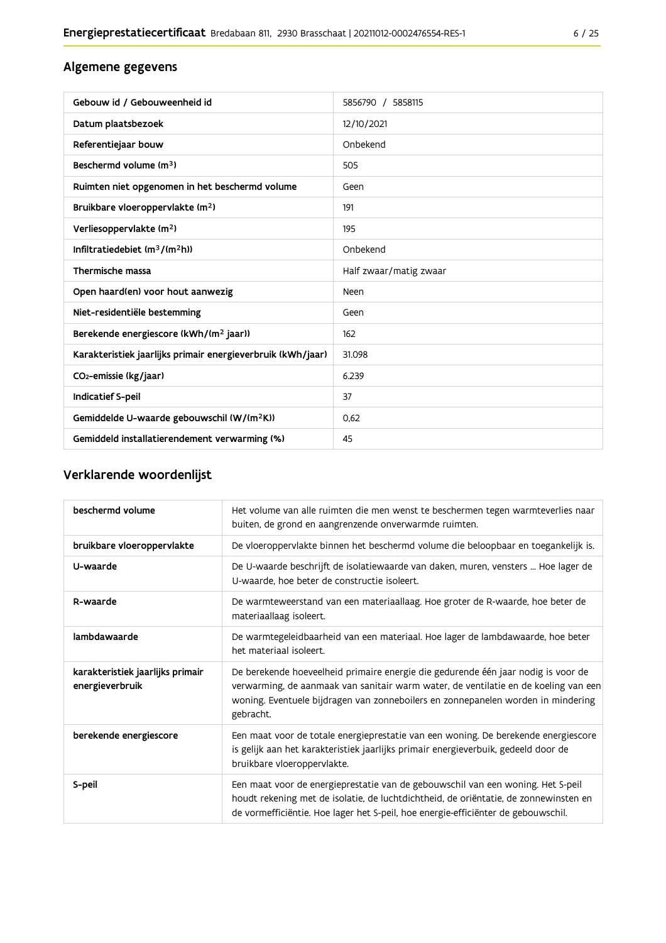# Algemene gegevens

| Gebouw id / Gebouweenheid id                                | 5856790 / 5858115      |
|-------------------------------------------------------------|------------------------|
| Datum plaatsbezoek                                          | 12/10/2021             |
| Referentiejaar bouw                                         | Onbekend               |
| Beschermd volume (m <sup>3</sup> )                          | 505                    |
| Ruimten niet opgenomen in het beschermd volume              | Geen                   |
| Bruikbare vloeroppervlakte (m <sup>2</sup> )                | 191                    |
| Verliesoppervlakte (m <sup>2</sup> )                        | 195                    |
| Infiltratiedebiet $(m^3/(m^2h))$                            | Onbekend               |
| Thermische massa                                            | Half zwaar/matig zwaar |
| Open haard(en) voor hout aanwezig                           | Neen                   |
| Niet-residentiële bestemming                                | Geen                   |
| Berekende energiescore (kWh/(m <sup>2</sup> jaar))          | 162                    |
| Karakteristiek jaarlijks primair energieverbruik (kWh/jaar) | 31.098                 |
| CO2-emissie (kg/jaar)                                       | 6.239                  |
| Indicatief S-peil                                           | 37                     |
| Gemiddelde U-waarde gebouwschil (W/(m <sup>2</sup> K))      | 0.62                   |
| Gemiddeld installatierendement verwarming (%)               | 45                     |

# Verklarende woordenlijst

| beschermd volume                                    | Het volume van alle ruimten die men wenst te beschermen tegen warmteverlies naar<br>buiten, de grond en aangrenzende onverwarmde ruimten.                                                                                                                                 |
|-----------------------------------------------------|---------------------------------------------------------------------------------------------------------------------------------------------------------------------------------------------------------------------------------------------------------------------------|
| bruikbare vloeroppervlakte                          | De vloeroppervlakte binnen het beschermd volume die beloopbaar en toegankelijk is.                                                                                                                                                                                        |
| U-waarde                                            | De U-waarde beschrijft de isolatiewaarde van daken, muren, vensters  Hoe lager de<br>U-waarde, hoe beter de constructie isoleert.                                                                                                                                         |
| R-waarde                                            | De warmteweerstand van een materiaallaag. Hoe groter de R-waarde, hoe beter de<br>materiaallaag isoleert.                                                                                                                                                                 |
| lambdawaarde                                        | De warmtegeleidbaarheid van een materiaal. Hoe lager de lambdawaarde, hoe beter<br>het materiaal isoleert.                                                                                                                                                                |
| karakteristiek jaarlijks primair<br>energieverbruik | De berekende hoeveelheid primaire energie die gedurende één jaar nodig is voor de<br>verwarming, de aanmaak van sanitair warm water, de ventilatie en de koeling van een<br>woning. Eventuele bijdragen van zonneboilers en zonnepanelen worden in mindering<br>gebracht. |
| berekende energiescore                              | Een maat voor de totale energieprestatie van een woning. De berekende energiescore<br>is gelijk aan het karakteristiek jaarlijks primair energieverbuik, gedeeld door de<br>bruikbare vloeroppervlakte.                                                                   |
| S-peil                                              | Een maat voor de energieprestatie van de gebouwschil van een woning. Het S-peil<br>houdt rekening met de isolatie, de luchtdichtheid, de oriëntatie, de zonnewinsten en<br>de vormefficiëntie. Hoe lager het S-peil, hoe energie-efficiënter de gebouwschil.              |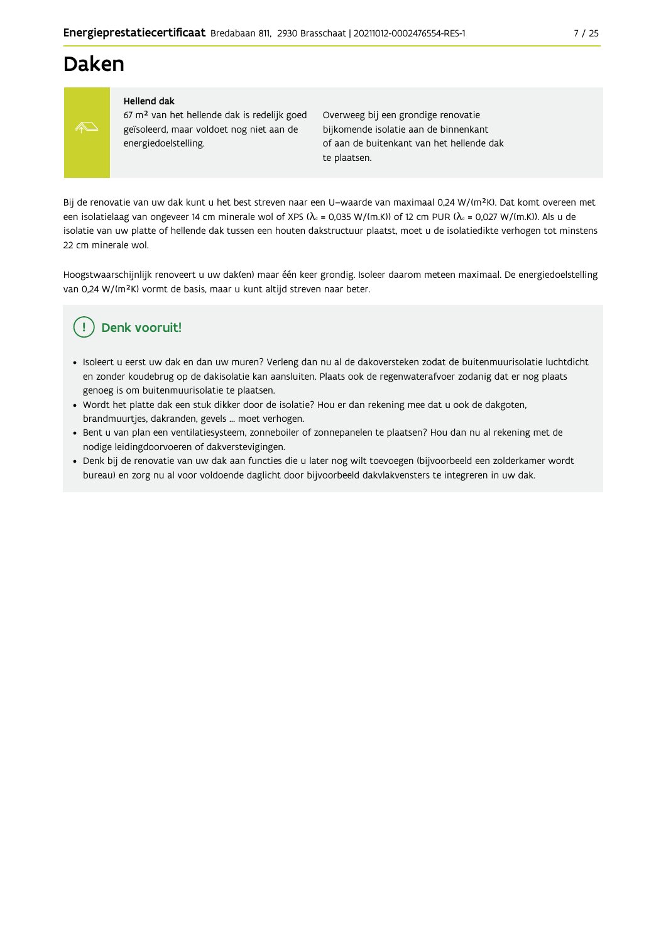# **Daken**



#### **Hellend dak**

67 m<sup>2</sup> van het hellende dak is redelijk goed geïsoleerd, maar voldoet nog niet aan de energiedoelstelling.

Overweeg bij een grondige renovatie bijkomende isolatie aan de binnenkant of aan de buitenkant van het hellende dak te plaatsen.

Bij de renovatie van uw dak kunt u het best streven naar een U-waarde van maximaal 0,24 W/(m<sup>2</sup>K). Dat komt overeen met een isolatielaag van ongeveer 14 cm minerale wol of XPS ( $\lambda_a$  = 0,035 W/(m.K)) of 12 cm PUR ( $\lambda_a$  = 0,027 W/(m.K)). Als u de isolatie van uw platte of hellende dak tussen een houten dakstructuur plaatst, moet u de isolatiedikte verhogen tot minstens 22 cm minerale wol.

Hoogstwaarschijnlijk renoveert u uw dak(en) maar één keer grondig. Isoleer daarom meteen maximaal. De energiedoelstelling van 0,24 W/(m<sup>2</sup>K) vormt de basis, maar u kunt altijd streven naar beter.

# Denk vooruit!

- · Isoleert u eerst uw dak en dan uw muren? Verleng dan nu al de dakoversteken zodat de buitenmuurisolatie luchtdicht en zonder koudebrug op de dakisolatie kan aansluiten. Plaats ook de regenwaterafvoer zodanig dat er nog plaats genoeg is om buitenmuurisolatie te plaatsen.
- · Wordt het platte dak een stuk dikker door de isolatie? Hou er dan rekening mee dat u ook de dakgoten, brandmuurtjes, dakranden, gevels ... moet verhogen.
- · Bent u van plan een ventilatiesysteem, zonneboiler of zonnepanelen te plaatsen? Hou dan nu al rekening met de nodige leidingdoorvoeren of dakverstevigingen.
- · Denk bij de renovatie van uw dak aan functies die u later nog wilt toevoegen (bijvoorbeeld een zolderkamer wordt bureau) en zorg nu al voor voldoende daglicht door bijvoorbeeld dakvlakvensters te integreren in uw dak.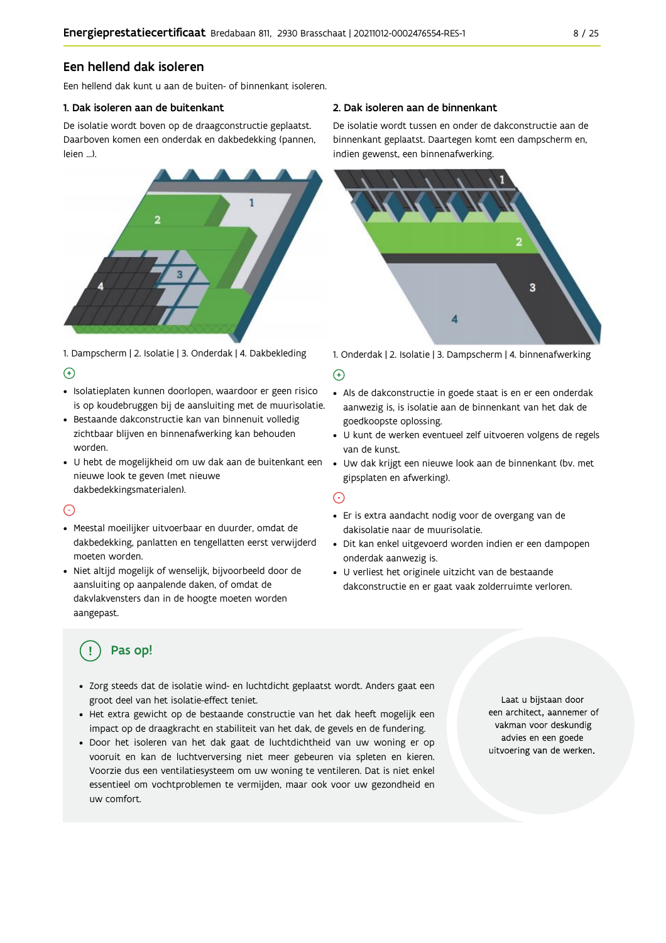### Een hellend dak isoleren

Fen hellend dak kunt u aan de buiten- of binnenkant isoleren.

#### 1. Dak isoleren aan de buitenkant

De isolatie wordt boven op de draagconstructie geplaatst. Daarboven komen een onderdak en dakbedekking (pannen, leien ...).



1. Dampscherm | 2. Isolatie | 3. Onderdak | 4. Dakbekleding  $\Theta$ 

- · Isolatieplaten kunnen doorlopen, waardoor er geen risico is op koudebruggen bij de aansluiting met de muurisolatie.
- · Bestaande dakconstructie kan van binnenuit volledig zichtbaar blijven en binnenafwerking kan behouden worden.
- · U hebt de mogelijkheid om uw dak aan de buitenkant een nieuwe look te geven (met nieuwe dakbedekkingsmaterialen).

### $\bigcap$

- · Meestal moeilijker uitvoerbaar en duurder, omdat de dakbedekking, panlatten en tengellatten eerst verwijderd moeten worden.
- · Niet altijd mogelijk of wenselijk, bijvoorbeeld door de aansluiting op aanpalende daken, of omdat de dakvlakvensters dan in de hoogte moeten worden aangepast.

#### 2. Dak isoleren aan de binnenkant

De isolatie wordt tussen en onder de dakconstructie aan de binnenkant geplaatst. Daartegen komt een dampscherm en, indien gewenst, een binnenafwerking.



1. Onderdak | 2. Isolatie | 3. Dampscherm | 4. binnenafwerking

#### $\bigoplus$

- Als de dakconstructie in goede staat is en er een onderdak aanwezig is, is isolatie aan de binnenkant van het dak de goedkoopste oplossing.
- · U kunt de werken eventueel zelf uitvoeren volgens de regels van de kunst.
- · Uw dak krijgt een nieuwe look aan de binnenkant (bv. met gipsplaten en afwerking).

#### ⊙

- · Er is extra aandacht nodig voor de overgang van de dakisolatie naar de muurisolatie.
- · Dit kan enkel uitgevoerd worden indien er een dampopen onderdak aanwezig is.
- · U verliest het originele uitzicht van de bestaande dakconstructie en er gaat vaak zolderruimte verloren.

# Pas op!

- · Zorg steeds dat de isolatie wind- en luchtdicht geplaatst wordt. Anders gaat een groot deel van het isolatie-effect teniet.
- · Het extra gewicht op de bestaande constructie van het dak heeft mogelijk een impact op de draagkracht en stabiliteit van het dak, de gevels en de fundering.
- · Door het isoleren van het dak gaat de luchtdichtheid van uw woning er op vooruit en kan de luchtverversing niet meer gebeuren via spleten en kieren. Voorzie dus een ventilatiesysteem om uw woning te ventileren. Dat is niet enkel essentieel om vochtproblemen te vermijden, maar ook voor uw gezondheid en uw comfort.

Laat u bijstaan door een architect, aannemer of vakman voor deskundig advies en een goede uitvoering van de werken.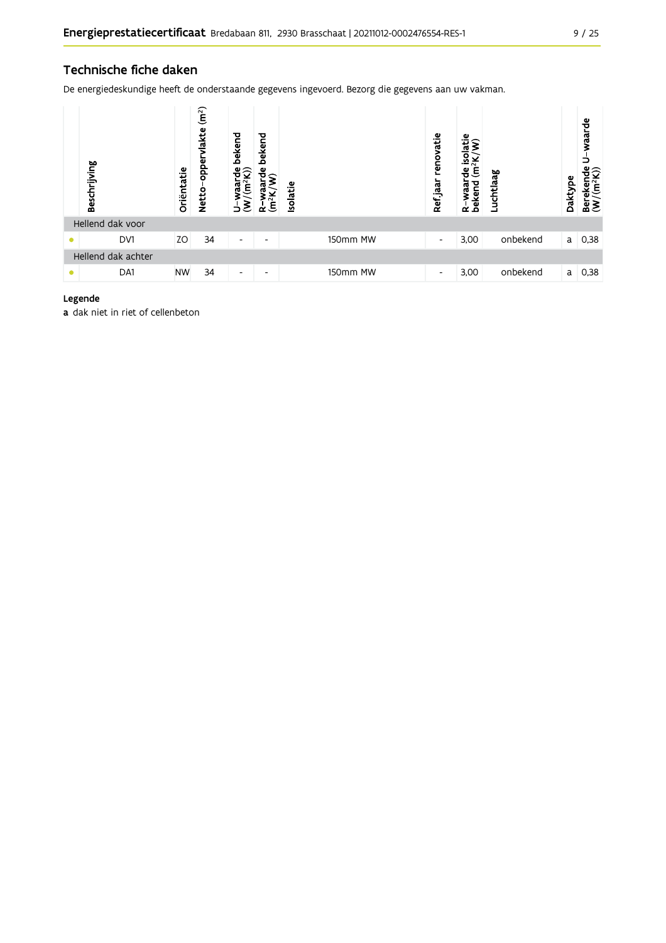### Technische fiche daken

De energiedeskundige heeft de onderstaande gegevens ingevoerd. Bezorg die gegevens aan uw vakman.

|   | Beschrijving       | Oriëntatie | (m <sup>2</sup> )<br>lakte<br>opper<br><b>Netto</b> | bekend<br>$\frac{w \cdot mc}{(m^2 K)}$<br>$\mathbf{\tilde{z}}$<br>∍ | bekend<br>은<br>$(m^2K)$<br>≃ | <b>Isolatie</b> |          | renovatie<br>Ref.jaar    | isolatie<br>$\frac{2}{\pi}$<br>Έ<br>유<br>waar<br>bekend<br>$\alpha$ | Luchtlaag | Daktype | waarde<br>$\begin{array}{ll}\n\text{Berekende} \\ (W/(m^2K))\n\end{array}$ |
|---|--------------------|------------|-----------------------------------------------------|---------------------------------------------------------------------|------------------------------|-----------------|----------|--------------------------|---------------------------------------------------------------------|-----------|---------|----------------------------------------------------------------------------|
|   | Hellend dak voor   |            |                                                     |                                                                     |                              |                 |          |                          |                                                                     |           |         |                                                                            |
| ≏ | DV1                | ZO         | 34                                                  | $\overline{\phantom{a}}$                                            | $\overline{\phantom{0}}$     |                 | 150mm MW | $\overline{\phantom{a}}$ | 3,00                                                                | onbekend  | a       | 0,38                                                                       |
|   | Hellend dak achter |            |                                                     |                                                                     |                              |                 |          |                          |                                                                     |           |         |                                                                            |
|   | DA1                | <b>NW</b>  | 34                                                  | $\overline{\phantom{a}}$                                            | ۰                            |                 | 150mm MW | -                        | 3,00                                                                | onbekend  | a       | 0,38                                                                       |

#### Legende

a dak niet in riet of cellenbeton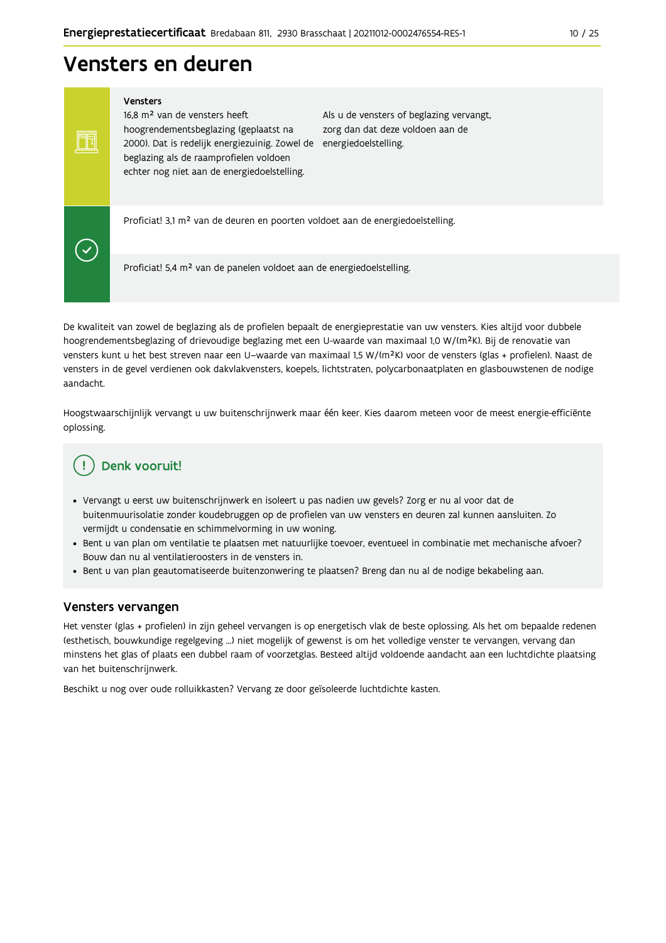# Vensters en deuren

Vensters

Ħ

 $\blacktriangledown$ 

16,8 m<sup>2</sup> van de vensters heeft hoogrendementsbeglazing (geplaatst na 2000). Dat is redelijk energiezuinig. Zowel de energiedoelstelling. beglazing als de raamprofielen voldoen echter nog niet aan de energiedoelstelling.

Als u de vensters of beglazing vervangt, zorg dan dat deze voldoen aan de

Proficiat! 3,1 m<sup>2</sup> van de deuren en poorten voldoet aan de energiedoelstelling.

Proficiat! 5,4 m<sup>2</sup> van de panelen voldoet aan de energiedoelstelling.

De kwaliteit van zowel de beglazing als de profielen bepaalt de energieprestatie van uw vensters. Kies altijd voor dubbele hoogrendementsbeglazing of drievoudige beglazing met een U-waarde van maximaal 1,0 W/(m<sup>2</sup>K). Bij de renovatie van vensters kunt u het best streven naar een U-waarde van maximaal 1,5 W/(m<sup>2</sup>K) voor de vensters (glas + profielen). Naast de vensters in de gevel verdienen ook dakvlakvensters, koepels, lichtstraten, polycarbonaatplaten en glasbouwstenen de nodige aandacht.

Hoogstwaarschijnlijk vervangt u uw buitenschrijnwerk maar één keer. Kies daarom meteen voor de meest energie-efficiënte oplossing.

# Denk vooruit!

- · Vervangt u eerst uw buitenschrijnwerk en isoleert u pas nadien uw gevels? Zorg er nu al voor dat de buitenmuurisolatie zonder koudebruggen op de profielen van uw vensters en deuren zal kunnen aansluiten. Zo vermijdt u condensatie en schimmelvorming in uw woning.
- Bent u van plan om ventilatie te plaatsen met natuurlijke toevoer, eventueel in combinatie met mechanische afvoer? Bouw dan nu al ventilatieroosters in de vensters in.
- · Bent u van plan geautomatiseerde buitenzonwering te plaatsen? Breng dan nu al de nodige bekabeling aan.

### Vensters vervangen

Het venster (glas + profielen) in zijn geheel vervangen is op energetisch vlak de beste oplossing. Als het om bepaalde redenen (esthetisch, bouwkundige regelgeving ...) niet mogelijk of gewenst is om het volledige venster te vervangen, vervang dan minstens het glas of plaats een dubbel raam of voorzetglas. Besteed altijd voldoende aandacht aan een luchtdichte plaatsing van het buitenschrijnwerk.

Beschikt u nog over oude rolluikkasten? Vervang ze door geïsoleerde luchtdichte kasten.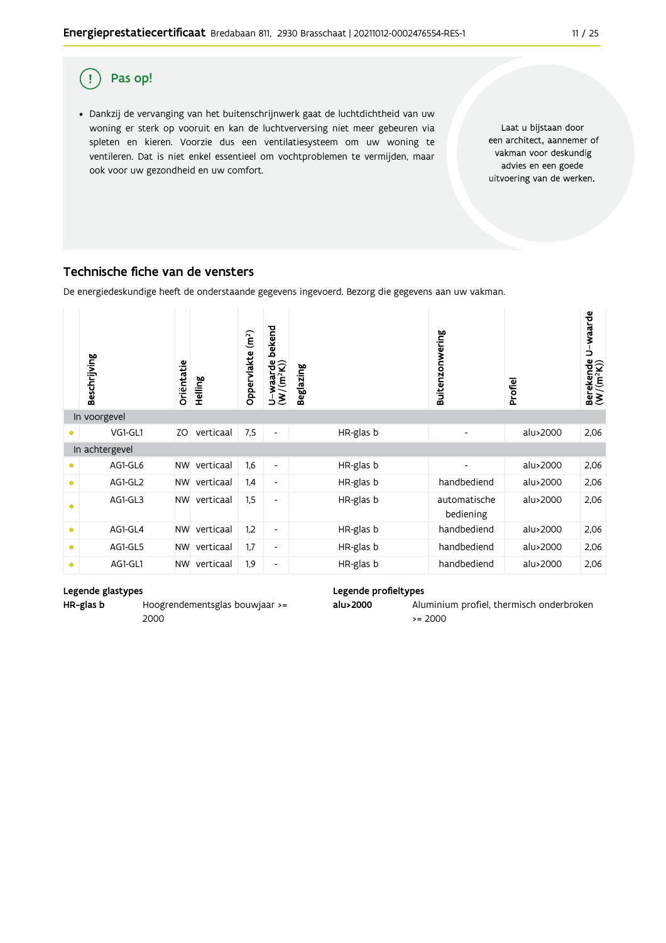

· Dankzij de vervanging van het buitenschrijnwerk gaat de luchtdichtheid van uw woning er sterk op vooruit en kan de luchtverversing niet meer gebeuren via spleten en kieren. Voorzie dus een ventilatiesysteem om uw woning te ventileren. Dat is niet enkel essentieel om vochtproblemen te vermijden, maar ook voor uw gezondheid en uw comfort.

Laat u bijstaan door een architect, aannemer of vakman voor deskundig advies en een goede uitvoering van de werken.

### Technische fiche van de vensters

De energiedeskundige heeft de onderstaande gegevens ingevoerd. Bezorg die gegevens aan uw vakman.

|           | Beschrijving   | Oriëntatie | Helling   | Oppervlakte (m <sup>2</sup> ) | bekend<br>$U$ –waarde<br>(W/(m <sup>2</sup> K)) | Beglazing | Buitenzonwering           | Profiel  | U-waarde<br>Berekende l $(W/(m^2K))$ |
|-----------|----------------|------------|-----------|-------------------------------|-------------------------------------------------|-----------|---------------------------|----------|--------------------------------------|
|           | In voorgevel   |            |           |                               |                                                 |           |                           |          |                                      |
|           | VG1-GL1        | ZO         | verticaal | 7,5                           | $\overline{\phantom{a}}$                        | HR-glas b |                           | alu>2000 | 2,06                                 |
|           | In achtergevel |            |           |                               |                                                 |           |                           |          |                                      |
|           | AG1-GL6        | <b>NW</b>  | verticaal | 1,6                           | $\overline{\phantom{a}}$                        | HR-glas b | $\overline{\phantom{0}}$  | alu>2000 | 2,06                                 |
| $\bullet$ | AG1-GL2        | <b>NW</b>  | verticaal | 1,4                           | $\overline{\phantom{a}}$                        | HR-glas b | handbediend               | alu>2000 | 2,06                                 |
| $\bullet$ | AG1-GL3        | <b>NW</b>  | verticaal | 1,5                           | $\overline{\phantom{a}}$                        | HR-glas b | automatische<br>bediening | alu>2000 | 2,06                                 |
| ۰         | AG1-GL4        | <b>NW</b>  | verticaal | 1,2                           | $\overline{\phantom{a}}$                        | HR-glas b | handbediend               | alu>2000 | 2,06                                 |
| $\bullet$ | AG1-GL5        | <b>NW</b>  | verticaal | 1,7                           | $\overline{\phantom{a}}$                        | HR-glas b | handbediend               | alu>2000 | 2,06                                 |
| $\bullet$ | AG1-GL1        | <b>NW</b>  | verticaal | 1,9                           | $\overline{\phantom{a}}$                        | HR-glas b | handbediend               | alu>2000 | 2,06                                 |

#### Legende glastypes

HR-glas b Hoogrendementsglas bouwjaar >= 2000

#### Legende profieltypes

alu>2000 Aluminium profiel, thermisch onderbroken  $>= 2000$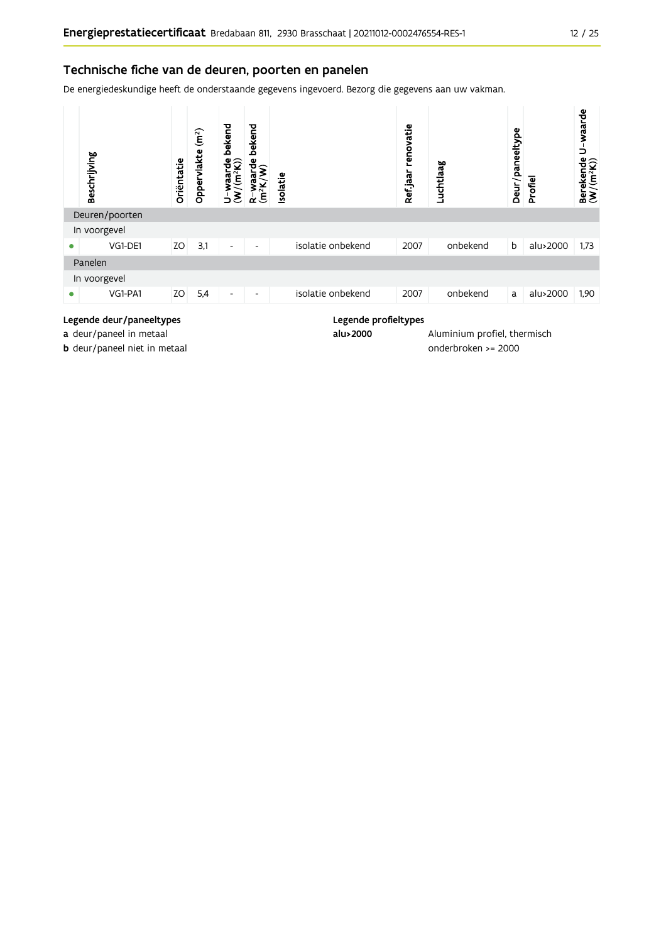### Technische fiche van de deuren, poorten en panelen

De energiedeskundige heeft de onderstaande gegevens ingevoerd. Bezorg die gegevens aan uw vakman.



#### Legende deur/paneeltypes

a deur/paneel in metaal

b deur/paneel niet in metaal

Legende profieltypes alu>2000

Aluminium profiel, thermisch onderbroken >= 2000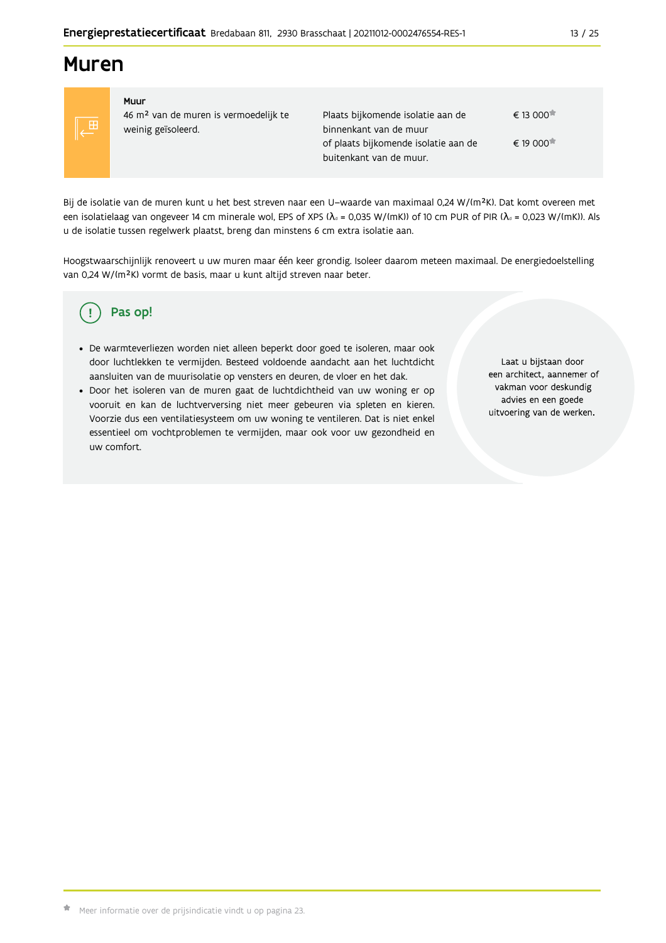# **Muren**



#### Muur 46 m<sup>2</sup> van de muren is vermoedelijk te weinig geïsoleerd.

Plaats bijkomende isolatie aan de  $\epsilon$  13.000 $\star$ binnenkant van de muur € 19 000<sup>★</sup> of plaats bijkomende isolatie aan de buitenkant van de muur.

Bij de isolatie van de muren kunt u het best streven naar een U-waarde van maximaal 0,24 W/(m<sup>2</sup>K). Dat komt overeen met een isolatielaag van ongeveer 14 cm minerale wol, EPS of XPS ( $\lambda_a$  = 0,035 W/(mK)) of 10 cm PUR of PIR ( $\lambda_a$  = 0,023 W/(mK)). Als u de isolatie tussen regelwerk plaatst, breng dan minstens 6 cm extra isolatie aan.

Hoogstwaarschijnlijk renoveert u uw muren maar één keer grondig. Isoleer daarom meteen maximaal. De energiedoelstelling van 0,24 W/(m<sup>2</sup>K) vormt de basis, maar u kunt altijd streven naar beter.

#### Pas op! Ţ

- · De warmteverliezen worden niet alleen beperkt door goed te isoleren, maar ook door luchtlekken te vermijden. Besteed voldoende aandacht aan het luchtdicht aansluiten van de muurisolatie op vensters en deuren, de vloer en het dak.
- · Door het isoleren van de muren gaat de luchtdichtheid van uw woning er op vooruit en kan de luchtverversing niet meer gebeuren via spleten en kieren. Voorzie dus een ventilatiesysteem om uw woning te ventileren. Dat is niet enkel essentieel om vochtproblemen te vermijden, maar ook voor uw gezondheid en uw comfort.

Laat u bijstaan door een architect, aannemer of vakman voor deskundig advies en een goede uitvoering van de werken.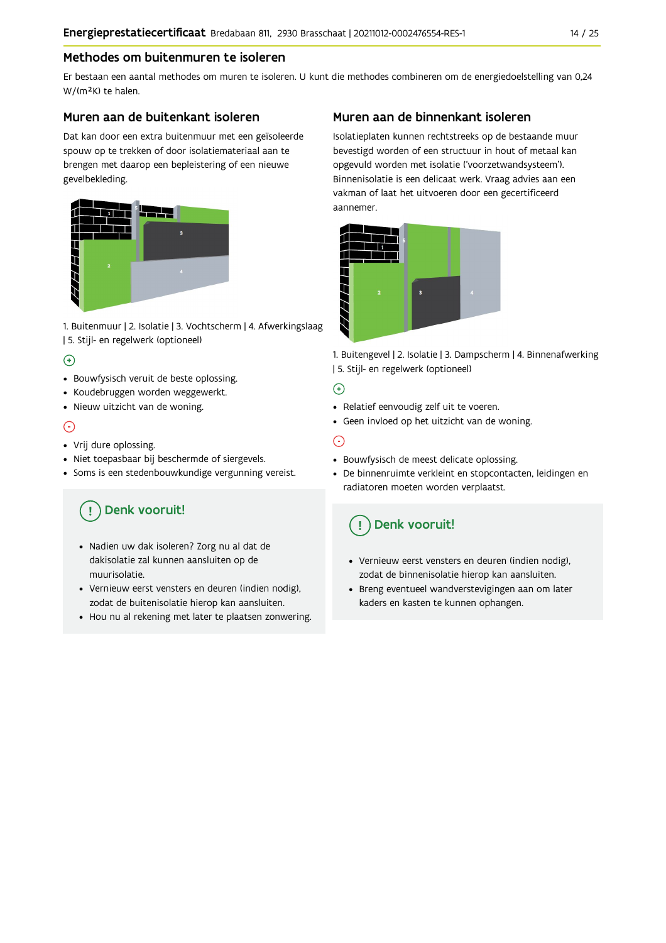### Methodes om buitenmuren te isoleren

Er bestaan een aantal methodes om muren te isoleren. U kunt die methodes combineren om de energiedoelstelling van 0,24 W/(m<sup>2</sup>K) te halen.

### Muren aan de buitenkant isoleren

Dat kan door een extra buitenmuur met een geïsoleerde spouw op te trekken of door isolatiemateriaal aan te brengen met daarop een bepleistering of een nieuwe gevelbekleding.



1. Buitenmuur | 2. Isolatie | 3. Vochtscherm | 4. Afwerkingslaag | 5. Stijl- en regelwerk (optioneel)

### $\bigoplus$

- Bouwfysisch veruit de beste oplossing.
- Koudebruggen worden weggewerkt.
- · Nieuw uitzicht van de woning.

### $\odot$

#### • Vrij dure oplossing.

- · Niet toepasbaar bij beschermde of siergevels.
- Soms is een stedenbouwkundige vergunning vereist.

# Denk vooruit!

- · Nadien uw dak isoleren? Zorg nu al dat de dakisolatie zal kunnen aansluiten op de muurisolatie.
- · Vernieuw eerst vensters en deuren (indien nodig), zodat de buitenisolatie hierop kan aansluiten.
- Hou nu al rekening met later te plaatsen zonwering.

## Muren aan de binnenkant isoleren

Isolatieplaten kunnen rechtstreeks op de bestaande muur bevestigd worden of een structuur in hout of metaal kan opgevuld worden met isolatie ('voorzetwandsysteem'). Binnenisolatie is een delicaat werk. Vraag advies aan een vakman of laat het uitvoeren door een gecertificeerd aannemer



1. Buitengevel | 2. Isolatie | 3. Dampscherm | 4. Binnenafwerking | 5. Stijl- en regelwerk (optioneel)

### $\bigoplus$

- Relatief eenvoudig zelf uit te voeren.
- Geen invloed op het uitzicht van de woning.

# ⊝

- Bouwfysisch de meest delicate oplossing.
- · De binnenruimte verkleint en stopcontacten, leidingen en radiatoren moeten worden verplaatst.

# Denk vooruit!

- Vernieuw eerst vensters en deuren (indien nodig), zodat de binnenisolatie hierop kan aansluiten.
- · Breng eventueel wandverstevigingen aan om later kaders en kasten te kunnen ophangen.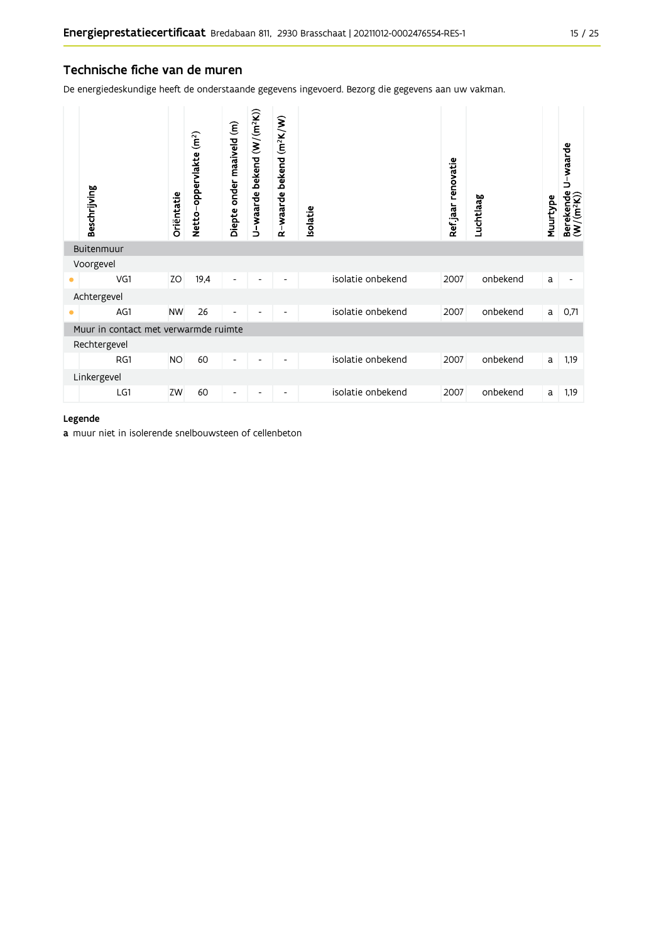### Technische fiche van de muren

De energiedeskundige heeft de onderstaande gegevens ingevoerd. Bezorg die gegevens aan uw vakman.

|           | Beschrijving                         | Oriëntatie | Netto-oppervlakte (m <sup>2</sup> ) | Diepte onder maaiveld (m) | U-waarde bekend (W/(m <sup>2</sup> K)) | R-waarde bekend (m <sup>2</sup> K/W) | solatie |                   | Refjaar renovatie | Luchtlaag | Muurtype | U-waarde<br>Berekende l<br>(W/(m <sup>2</sup> K)) |
|-----------|--------------------------------------|------------|-------------------------------------|---------------------------|----------------------------------------|--------------------------------------|---------|-------------------|-------------------|-----------|----------|---------------------------------------------------|
|           | Buitenmuur                           |            |                                     |                           |                                        |                                      |         |                   |                   |           |          |                                                   |
|           | Voorgevel                            |            |                                     |                           |                                        |                                      |         |                   |                   |           |          |                                                   |
| ۰         | VG1                                  | ZO         | 19,4                                | -                         |                                        |                                      |         | isolatie onbekend | 2007              | onbekend  | a        |                                                   |
|           | Achtergevel                          |            |                                     |                           |                                        |                                      |         |                   |                   |           |          |                                                   |
| $\bullet$ | AG1                                  | <b>NW</b>  | 26                                  | -                         |                                        |                                      |         | isolatie onbekend | 2007              | onbekend  | a        | 0,71                                              |
|           | Muur in contact met verwarmde ruimte |            |                                     |                           |                                        |                                      |         |                   |                   |           |          |                                                   |
|           | Rechtergevel                         |            |                                     |                           |                                        |                                      |         |                   |                   |           |          |                                                   |
|           | RG1                                  | <b>NO</b>  | 60                                  | -                         | ٠                                      | -                                    |         | isolatie onbekend | 2007              | onbekend  | a        | 1,19                                              |
|           | Linkergevel                          |            |                                     |                           |                                        |                                      |         |                   |                   |           |          |                                                   |
|           | LG1                                  | ZW         | 60                                  | -                         |                                        | -                                    |         | isolatie onbekend | 2007              | onbekend  | a        | 1,19                                              |

#### Legende

a muur niet in isolerende snelbouwsteen of cellenbeton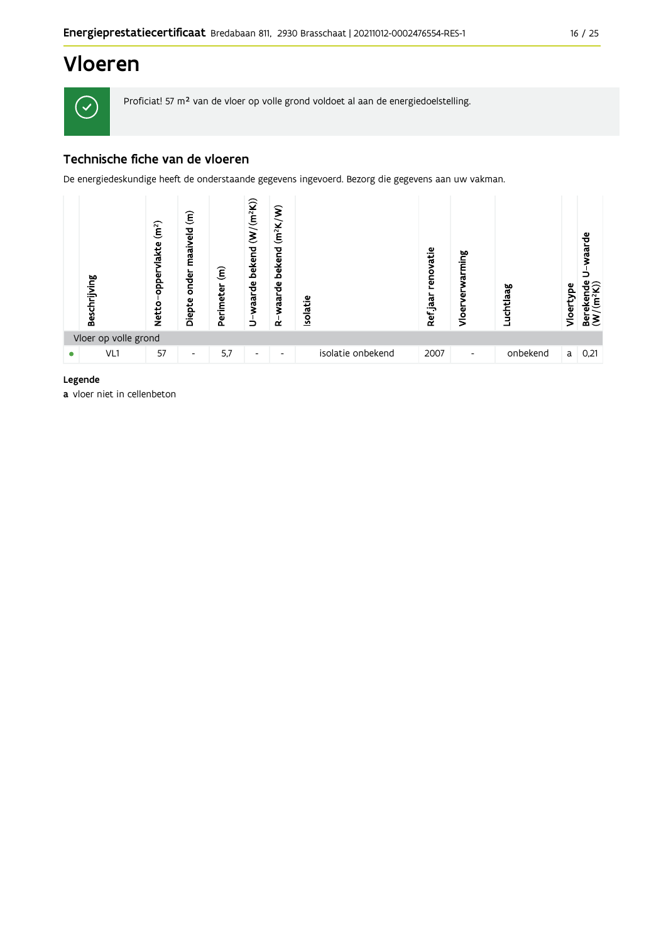# Vloeren



Proficiat! 57 m<sup>2</sup> van de vloer op volle grond voldoet al aan de energiedoelstelling.

# Technische fiche van de vloeren

De energiedeskundige heeft de onderstaande gegevens ingevoerd. Bezorg die gegevens aan uw vakman.

|   | Beschrijving         | (m <sup>2</sup> )<br>vlakte<br>opper<br><b>Netto</b> | $\widehat{\boldsymbol{\epsilon}}$<br>maaiveld<br>onder<br>Diepte | $\widehat{\boldsymbol{\epsilon}}$<br>Perimeter | $(W/(m^2K))$<br>bekend<br>waarde<br>っ | $(m^2K/W)$<br>bekend<br>waarde<br>$\alpha$ | <b>Isolatie</b>   | renovatie<br>Ref jaar | ming<br>ಸ<br>Vloer | Luchtlaag | Vloertype | waarde<br>Berekende<br>$(W/(m^2K))$ |
|---|----------------------|------------------------------------------------------|------------------------------------------------------------------|------------------------------------------------|---------------------------------------|--------------------------------------------|-------------------|-----------------------|--------------------|-----------|-----------|-------------------------------------|
|   | Vloer op volle grond |                                                      |                                                                  |                                                |                                       |                                            |                   |                       |                    |           |           |                                     |
| ۰ | VL1                  | 57                                                   | ٠                                                                | 5,7                                            | $\overline{\phantom{0}}$              | $\overline{\phantom{0}}$                   | isolatie onbekend | 2007                  | ٠                  | onbekend  | a l       | 0,21                                |

#### Legende

a vloer niet in cellenbeton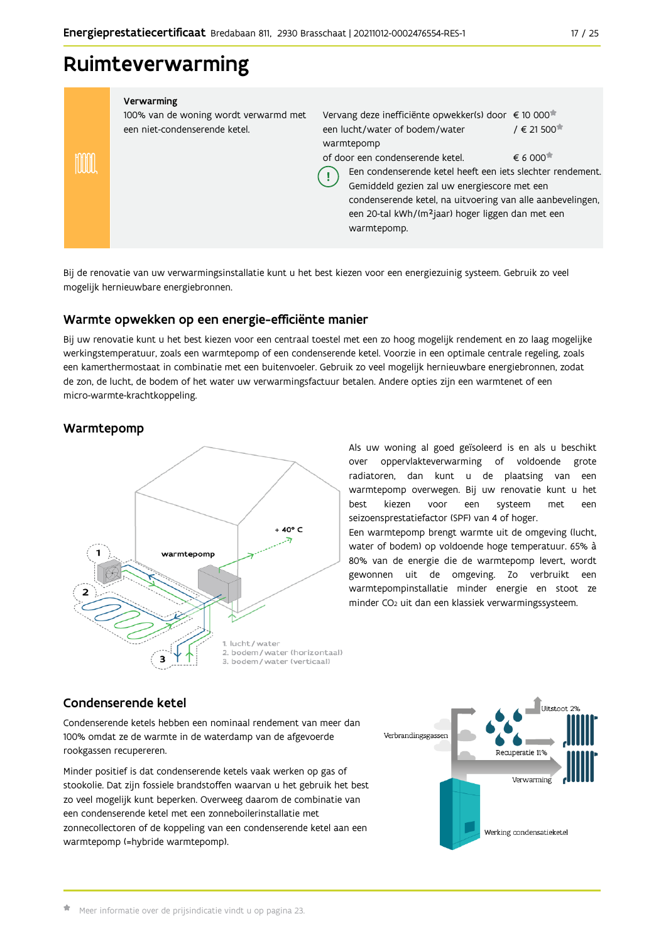# Ruimteverwarming

|   | Verwarming<br>100% van de woning wordt verwarmd met<br>een niet-condenserende ketel. | Vervang deze inefficiënte opwekker(s) door € 10 000 <sup>*</sup><br>een lucht/water of bodem/water<br>warmtepomp                                                                                                                                                                             | $/ \in 21500$                                |
|---|--------------------------------------------------------------------------------------|----------------------------------------------------------------------------------------------------------------------------------------------------------------------------------------------------------------------------------------------------------------------------------------------|----------------------------------------------|
| ₩ |                                                                                      | of door een condenserende ketel.<br>Een condenserende ketel heeft een iets slechter rendement.<br>Gemiddeld gezien zal uw energiescore met een<br>condenserende ketel, na uitvoering van alle aanbevelingen,<br>een 20-tal kWh/(m <sup>2</sup> jaar) hoger liggen dan met een<br>warmtepomp. | $\epsilon$ 6 000 <sup><math>\pi</math></sup> |
|   |                                                                                      |                                                                                                                                                                                                                                                                                              |                                              |

Bij de renovatie van uw verwarmingsinstallatie kunt u het best kiezen voor een energiezuinig systeem. Gebruik zo veel mogelijk hernieuwbare energiebronnen.

# Warmte opwekken op een energie-efficiënte manier

Bij uw renovatie kunt u het best kiezen voor een centraal toestel met een zo hoog mogelijk rendement en zo laag mogelijke werkingstemperatuur, zoals een warmtepomp of een condenserende ketel. Voorzie in een optimale centrale regeling, zoals een kamerthermostaat in combinatie met een buitenvoeler. Gebruik zo veel mogelijk hernieuwbare energiebronnen, zodat de zon, de lucht, de bodem of het water uw verwarmingsfactuur betalen. Andere opties zijn een warmtenet of een micro-warmte-krachtkoppeling.

### Warmtepomp



Als uw woning al goed geïsoleerd is en als u beschikt over oppervlakteverwarming of voldoende grote radiatoren, dan kunt u de plaatsing van een warmtepomp overwegen. Bij uw renovatie kunt u het hest kiezen voor een systeem met een seizoensprestatiefactor (SPF) van 4 of hoger.

Een warmtepomp brengt warmte uit de omgeving (lucht, water of bodem) op voldoende hoge temperatuur. 65% à 80% van de energie die de warmtepomp levert, wordt gewonnen uit de omgeving. Zo verbruikt een warmtepompinstallatie minder energie en stoot ze minder CO<sub>2</sub> uit dan een klassiek verwarmingssysteem.

### Condenserende ketel

Condenserende ketels hebben een nominaal rendement van meer dan 100% omdat ze de warmte in de waterdamp van de afgevoerde rookgassen recupereren.

Minder positief is dat condenserende ketels vaak werken op gas of stookolie. Dat zijn fossiele brandstoffen waarvan u het gebruik het best zo veel mogelijk kunt beperken. Overweeg daarom de combinatie van een condenserende ketel met een zonneboilerinstallatie met zonnecollectoren of de koppeling van een condenserende ketel aan een warmtepomp (=hybride warmtepomp).

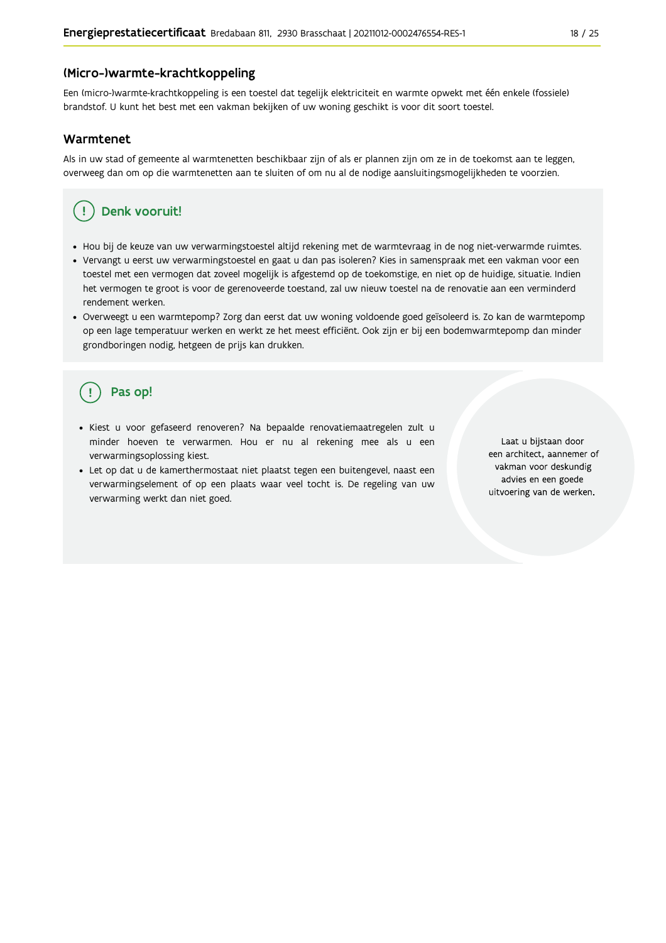#### (Micro-)warmte-krachtkoppeling

Een (micro-)warmte-krachtkoppeling is een toestel dat tegelijk elektriciteit en warmte opwekt met één enkele (fossiele) brandstof. U kunt het best met een vakman bekijken of uw woning geschikt is voor dit soort toestel.

#### Warmtenet

Als in uw stad of gemeente al warmtenetten beschikbaar zijn of als er plannen zijn om ze in de toekomst aan te leggen, overweeg dan om op die warmtenetten aan te sluiten of om nu al de nodige aansluitingsmogelijkheden te voorzien.

# Denk vooruit!

- · Hou bij de keuze van uw verwarmingstoestel altijd rekening met de warmtevraag in de nog niet-verwarmde ruimtes.
- Vervangt u eerst uw verwarmingstoestel en gaat u dan pas isoleren? Kies in samenspraak met een vakman voor een toestel met een vermogen dat zoveel mogelijk is afgestemd op de toekomstige, en niet op de huidige, situatie. Indien het vermogen te groot is voor de gerenoveerde toestand, zal uw nieuw toestel na de renovatie aan een verminderd rendement werken.
- · Overweegt u een warmtepomp? Zorg dan eerst dat uw woning voldoende goed geïsoleerd is. Zo kan de warmtepomp op een lage temperatuur werken en werkt ze het meest efficiënt. Ook zijn er bij een bodemwarmtepomp dan minder grondboringen nodig, hetgeen de prijs kan drukken.

# Pas op!

- · Kiest u voor gefaseerd renoveren? Na bepaalde renovatiemaatregelen zult u minder hoeven te verwarmen. Hou er nu al rekening mee als u een verwarmingsoplossing kiest.
- · Let op dat u de kamerthermostaat niet plaatst tegen een buitengevel, naast een verwarmingselement of op een plaats waar veel tocht is. De regeling van uw verwarming werkt dan niet goed.

Laat u bijstaan door een architect, aannemer of vakman voor deskundig advies en een goede uitvoering van de werken.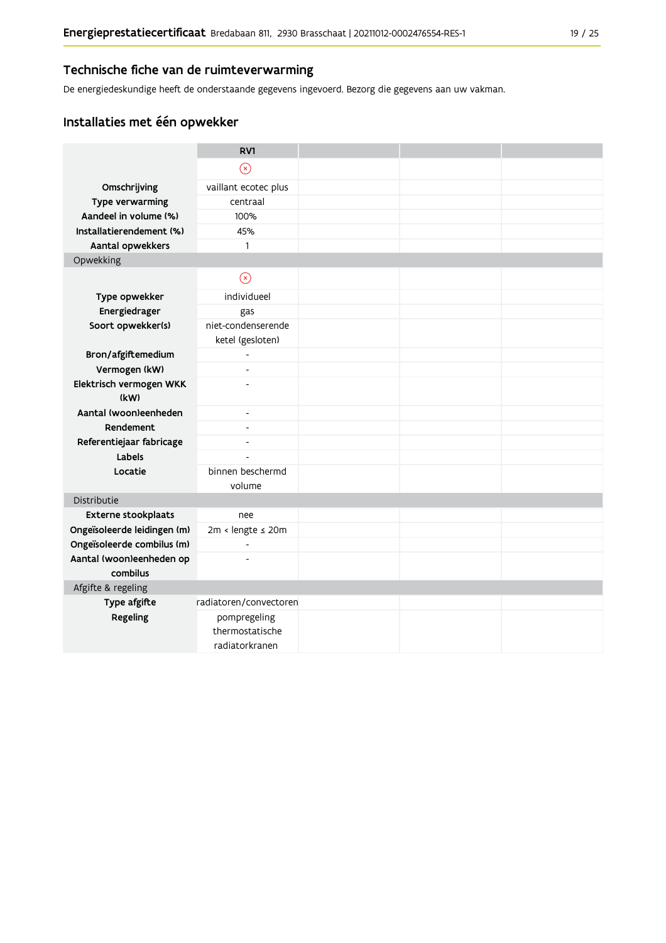### Technische fiche van de ruimteverwarming

De energiedeskundige heeft de onderstaande gegevens ingevoerd. Bezorg die gegevens aan uw vakman.

# Installaties met één opwekker

|                                      | RV1                                               |  |  |
|--------------------------------------|---------------------------------------------------|--|--|
|                                      | $\circledast$                                     |  |  |
| Omschrijving                         | vaillant ecotec plus                              |  |  |
| Type verwarming                      | centraal                                          |  |  |
| Aandeel in volume (%)                | 100%                                              |  |  |
| Installatierendement (%)             | 45%                                               |  |  |
| Aantal opwekkers                     | $\mathbf{1}$                                      |  |  |
| Opwekking                            |                                                   |  |  |
|                                      | $\circledR$                                       |  |  |
| Type opwekker                        | individueel                                       |  |  |
| Energiedrager                        | gas                                               |  |  |
| Soort opwekker(s)                    | niet-condenserende<br>ketel (gesloten)            |  |  |
| Bron/afgiftemedium                   |                                                   |  |  |
| Vermogen (kW)                        | $\overline{\phantom{0}}$                          |  |  |
| Elektrisch vermogen WKK              | $\overline{a}$                                    |  |  |
| (kW)                                 |                                                   |  |  |
| Aantal (woon)eenheden                | $\blacksquare$                                    |  |  |
| Rendement                            | $\overline{\phantom{a}}$                          |  |  |
| Referentiejaar fabricage             | ٠                                                 |  |  |
| Labels                               | $\overline{a}$                                    |  |  |
| Locatie                              | binnen beschermd                                  |  |  |
|                                      | volume                                            |  |  |
| Distributie                          |                                                   |  |  |
| Externe stookplaats                  | nee                                               |  |  |
| Ongeïsoleerde leidingen (m)          | 2m < lengte ≤ 20m                                 |  |  |
| Ongeïsoleerde combilus (m)           | $\overline{a}$                                    |  |  |
| Aantal (woon)eenheden op<br>combilus | $\overline{a}$                                    |  |  |
| Afgifte & regeling                   |                                                   |  |  |
| Type afgifte                         | radiatoren/convectoren                            |  |  |
| Regeling                             | pompregeling<br>thermostatische<br>radiatorkranen |  |  |
|                                      |                                                   |  |  |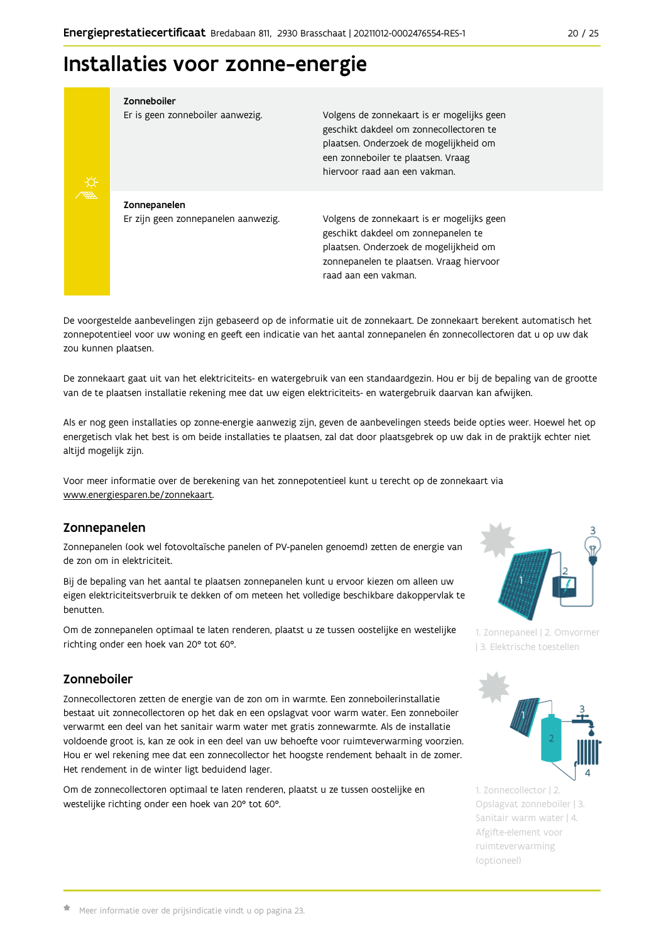# Installaties voor zonne-energie

Zonneboiler



Volgens de zonnekaart is er mogelijks geen geschikt dakdeel om zonnecollectoren te plaatsen. Onderzoek de mogelijkheid om een zonneboiler te plaatsen. Vraag hiervoor raad aan een vakman.

Zonnepanelen Er zijn geen zonnepanelen aanwezig.

Er is geen zonneboiler aanwezig.

Volgens de zonnekaart is er mogelijks geen geschikt dakdeel om zonnepanelen te plaatsen. Onderzoek de mogelijkheid om zonnepanelen te plaatsen. Vraag hiervoor raad aan een vakman.

De voorgestelde aanbevelingen zijn gebaseerd op de informatie uit de zonnekaart. De zonnekaart berekent automatisch het zonnepotentieel voor uw woning en geeft een indicatie van het aantal zonnepanelen én zonnecollectoren dat u op uw dak zou kunnen plaatsen.

De zonnekaart gaat uit van het elektriciteits- en watergebruik van een standaardgezin. Hou er bij de bepaling van de grootte van de te plaatsen installatie rekening mee dat uw eigen elektriciteits- en watergebruik daarvan kan afwijken.

Als er nog geen installaties op zonne-energie aanwezig zijn, geven de aanbevelingen steeds beide opties weer. Hoewel het op energetisch vlak het best is om beide installaties te plaatsen, zal dat door plaatsgebrek op uw dak in de praktijk echter niet altijd mogelijk zijn.

Voor meer informatie over de berekening van het zonnepotentieel kunt u terecht op de zonnekaart via www.energiesparen.be/zonnekaart.

### Zonnepanelen

Zonnepanelen (ook wel fotovoltaïsche panelen of PV-panelen genoemd) zetten de energie van de zon om in elektriciteit.

Bij de bepaling van het aantal te plaatsen zonnepanelen kunt u ervoor kiezen om alleen uw eigen elektriciteitsverbruik te dekken of om meteen het volledige beschikbare dakoppervlak te benutten.

Om de zonnepanelen optimaal te laten renderen, plaatst u ze tussen oostelijke en westelijke richting onder een hoek van 20° tot 60°.

# Zonneboiler

Zonnecollectoren zetten de energie van de zon om in warmte. Een zonneboilerinstallatie bestaat uit zonnecollectoren op het dak en een opslagvat voor warm water. Een zonneboiler verwarmt een deel van het sanitair warm water met gratis zonnewarmte. Als de installatie voldoende groot is, kan ze ook in een deel van uw behoefte voor ruimteverwarming voorzien. Hou er wel rekening mee dat een zonnecollector het hoogste rendement behaalt in de zomer. Het rendement in de winter ligt beduidend lager.

Om de zonnecollectoren optimaal te laten renderen, plaatst u ze tussen oostelijke en westelijke richting onder een hoek van 20° tot 60°.



1. Zonnepaneel | 2. Omvormer 13. Elektrische toestellen



1. Zonnecollector | 2. Opslagvat zonneboiler | 3. Sanitair warm water | 4. Afgifte-element voor ruimteverwarming (optioneel)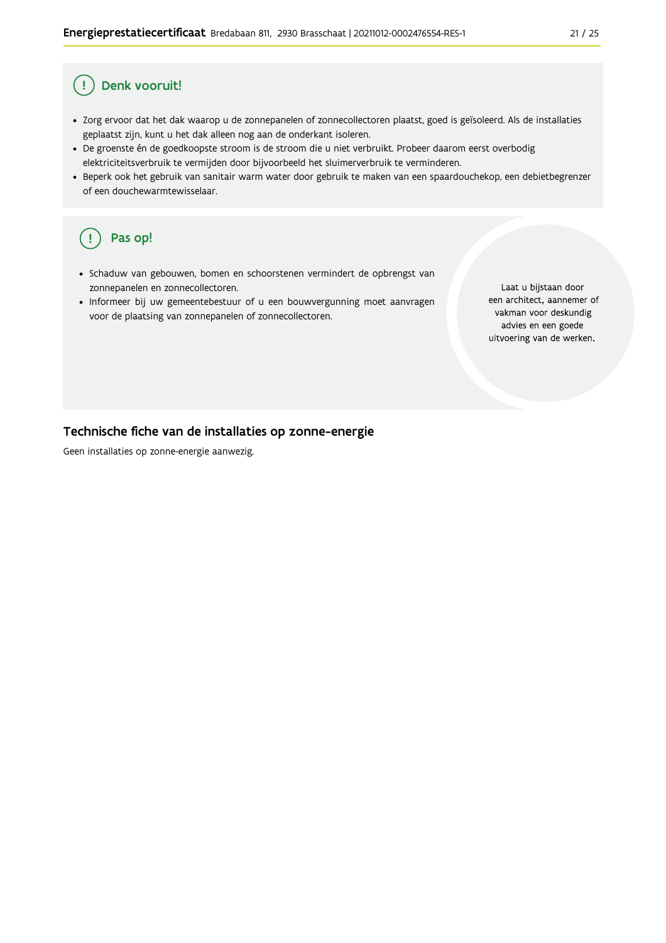#### Denk vooruit! Ţ

- · Zorg ervoor dat het dak waarop u de zonnepanelen of zonnecollectoren plaatst, goed is geïsoleerd. Als de installaties geplaatst zijn, kunt u het dak alleen nog aan de onderkant isoleren.
- · De groenste én de goedkoopste stroom is de stroom die u niet verbruikt. Probeer daarom eerst overbodig elektriciteitsverbruik te vermijden door bijvoorbeeld het sluimerverbruik te verminderen.
- · Beperk ook het gebruik van sanitair warm water door gebruik te maken van een spaardouchekop, een debietbegrenzer of een douchewarmtewisselaar.

#### Pas op! ( !

- · Schaduw van gebouwen, bomen en schoorstenen vermindert de opbrengst van zonnepanelen en zonnecollectoren.
- Informeer bij uw gemeentebestuur of u een bouwvergunning moet aanvragen voor de plaatsing van zonnepanelen of zonnecollectoren.

Laat u bijstaan door een architect, aannemer of vakman voor deskundig advies en een goede uitvoering van de werken.

### Technische fiche van de installaties op zonne-energie

Geen installaties op zonne-energie aanwezig.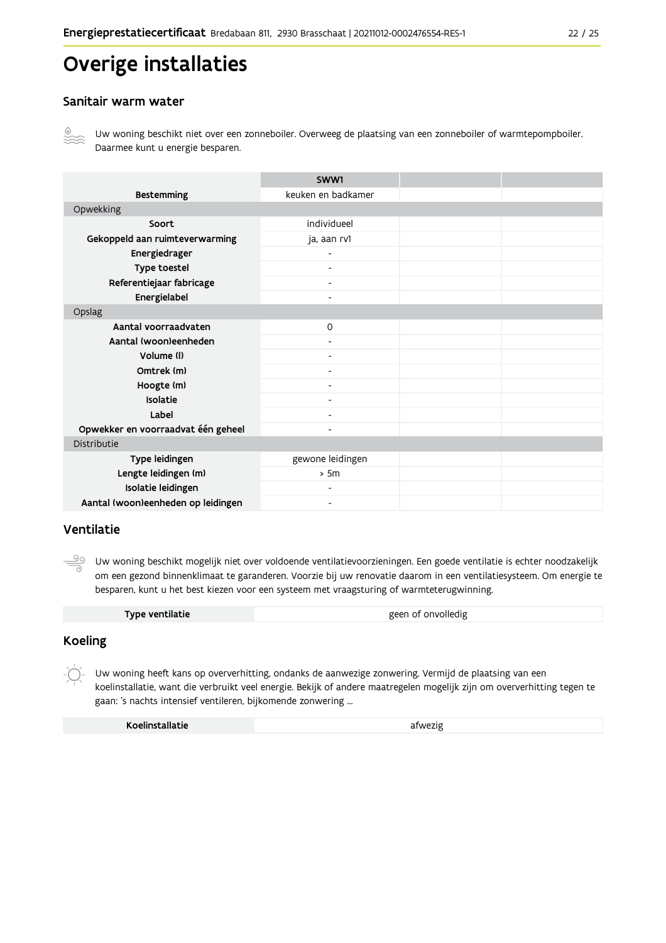# Overige installaties

### Sanitair warm water



Uw woning beschikt niet over een zonneboiler. Overweeg de plaatsing van een zonneboiler of warmtepompboiler. Daarmee kunt u energie besparen.

|                                    | SWW1                     |  |
|------------------------------------|--------------------------|--|
| <b>Bestemming</b>                  | keuken en badkamer       |  |
| Opwekking                          |                          |  |
| Soort                              | individueel              |  |
| Gekoppeld aan ruimteverwarming     | ja, aan rv1              |  |
| Energiedrager                      |                          |  |
| Type toestel                       |                          |  |
| Referentiejaar fabricage           | $\overline{\phantom{a}}$ |  |
| Energielabel                       | $\overline{\phantom{a}}$ |  |
| Opslag                             |                          |  |
| Aantal voorraadvaten               | $\mathsf{O}$             |  |
| Aantal (woon)eenheden              |                          |  |
| Volume (I)                         | $\overline{\phantom{a}}$ |  |
| Omtrek (m)                         | $\overline{\phantom{0}}$ |  |
| Hoogte (m)                         |                          |  |
| Isolatie                           | $\overline{\phantom{0}}$ |  |
| Label                              | Ξ.                       |  |
| Opwekker en voorraadvat één geheel | $\overline{\phantom{a}}$ |  |
| Distributie                        |                          |  |
| Type leidingen                     | gewone leidingen         |  |
| Lengte leidingen (m)               | > 5m                     |  |
| Isolatie leidingen                 | $\overline{\phantom{a}}$ |  |
| Aantal (woon)eenheden op leidingen | $\overline{\phantom{a}}$ |  |

### Ventilatie

<u>99</u> Uw woning beschikt mogelijk niet over voldoende ventilatievoorzieningen. Een goede ventilatie is echter noodzakelijk om een gezond binnenklimaat te garanderen. Voorzie bij uw renovatie daarom in een ventilatiesysteem. Om energie te besparen, kunt u het best kiezen voor een systeem met vraagsturing of warmteterugwinning.

|  | Type ventilatie | geen of onvolledig |
|--|-----------------|--------------------|
|--|-----------------|--------------------|

### **Koeling**

 $-\bigcirc$ Uw woning heeft kans op oververhitting, ondanks de aanwezige zonwering. Vermijd de plaatsing van een koelinstallatie, want die verbruikt veel energie. Bekijk of andere maatregelen mogelijk zijn om oververhitting tegen te gaan: 's nachts intensief ventileren, bijkomende zonwering ...

| Koelinstallatie | afwezig |
|-----------------|---------|
|                 |         |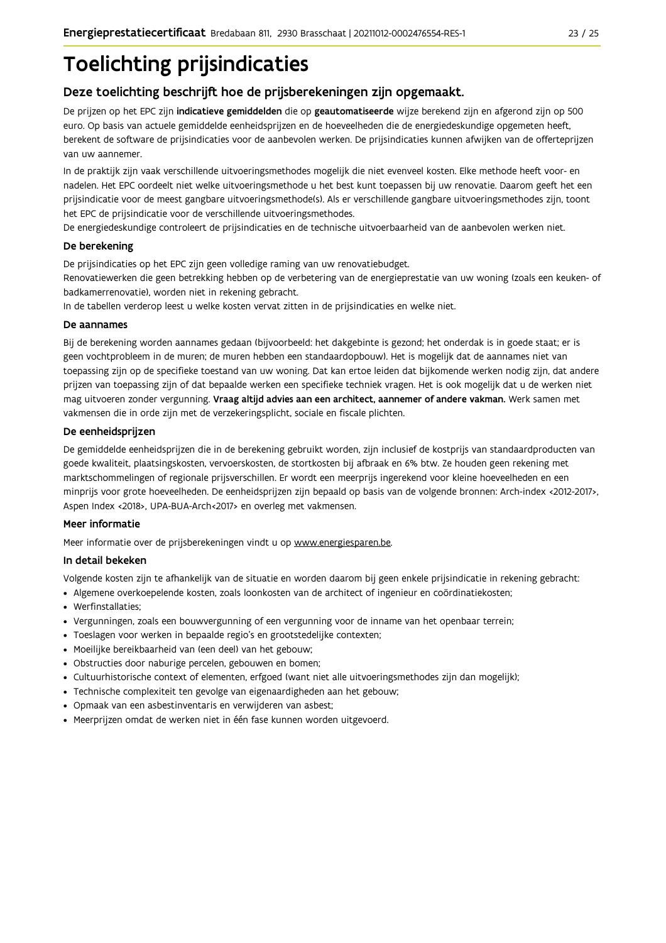# **Toelichting prijsindicaties**

# Deze toelichting beschrijft hoe de prijsberekeningen zijn opgemaakt.

De prijzen op het EPC zijn indicatieve gemiddelden die op geautomatiseerde wijze berekend zijn en afgerond zijn op 500 euro. Op basis van actuele gemiddelde eenheidsprijzen en de hoeveelheden die de energiedeskundige opgemeten heeft, berekent de software de prijsindicaties voor de aanbevolen werken. De prijsindicaties kunnen afwijken van de offerteprijzen van uw aannemer.

In de praktijk zijn vaak verschillende uitvoeringsmethodes mogelijk die niet evenveel kosten. Elke methode heeft voor- en nadelen. Het EPC oordeelt niet welke uitvoeringsmethode u het best kunt toepassen bij uw renovatie. Daarom geeft het een prijsindicatie voor de meest gangbare uitvoeringsmethode(s). Als er verschillende gangbare uitvoeringsmethodes zijn, toont het EPC de prijsindicatie voor de verschillende uitvoeringsmethodes.

De energiedeskundige controleert de prijsindicaties en de technische uitvoerbaarheid van de aanbevolen werken niet.

#### De berekening

De prijsindicaties op het EPC zijn geen volledige raming van uw renovatiebudget.

Renovatiewerken die geen betrekking hebben op de verbetering van de energieprestatie van uw woning (zoals een keuken- of badkamerrenovatie), worden niet in rekening gebracht.

In de tabellen verderop leest u welke kosten vervat zitten in de prijsindicaties en welke niet.

#### De aannames

Bij de berekening worden aannames gedaan (bijvoorbeeld: het dakgebinte is gezond; het onderdak is in goede staat; er is geen vochtprobleem in de muren; de muren hebben een standaardopbouw). Het is mogelijk dat de aannames niet van toepassing zijn op de specifieke toestand van uw woning. Dat kan ertoe leiden dat bijkomende werken nodig zijn, dat andere prijzen van toepassing zijn of dat bepaalde werken een specifieke techniek vragen. Het is ook mogelijk dat u de werken niet mag uitvoeren zonder vergunning. Vraag altijd advies aan een architect, aannemer of andere vakman. Werk samen met vakmensen die in orde zijn met de verzekeringsplicht, sociale en fiscale plichten.

#### De eenheidsprijzen

De gemiddelde eenheidspriizen die in de berekening gebruikt worden, zijn inclusief de kostpriis van standaardproducten van goede kwaliteit, plaatsingskosten, vervoerskosten, de stortkosten bij afbraak en 6% btw. Ze houden geen rekening met marktschommelingen of regionale prijsverschillen. Er wordt een meerprijs ingerekend voor kleine hoeveelheden en een minprijs voor grote hoeveelheden. De eenheidsprijzen zijn bepaald op basis van de volgende bronnen: Arch-index <2012-2017>, Aspen Index <2018>, UPA-BUA-Arch<2017> en overleg met vakmensen.

#### Meer informatie

Meer informatie over de prijsberekeningen vindt u op www.energiesparen.be.

#### In detail bekeken

Volgende kosten zijn te afhankelijk van de situatie en worden daarom bij geen enkele prijsindicatie in rekening gebracht:

- Algemene overkoepelende kosten, zoals loonkosten van de architect of ingenieur en coördinatiekosten;
- Werfinstallaties:
- · Vergunningen, zoals een bouwvergunning of een vergunning voor de inname van het openbaar terrein;
- Toeslagen voor werken in bepaalde regio's en grootstedelijke contexten:
- · Moeilijke bereikbaarheid van (een deel) van het gebouw;
- · Obstructies door naburige percelen, gebouwen en bomen;
- · Cultuurhistorische context of elementen, erfgoed (want niet alle uitvoeringsmethodes zijn dan mogelijk);
- · Technische complexiteit ten gevolge van eigenaardigheden aan het gebouw;
- · Opmaak van een asbestinventaris en verwijderen van asbest;
- · Meerprijzen omdat de werken niet in één fase kunnen worden uitgevoerd.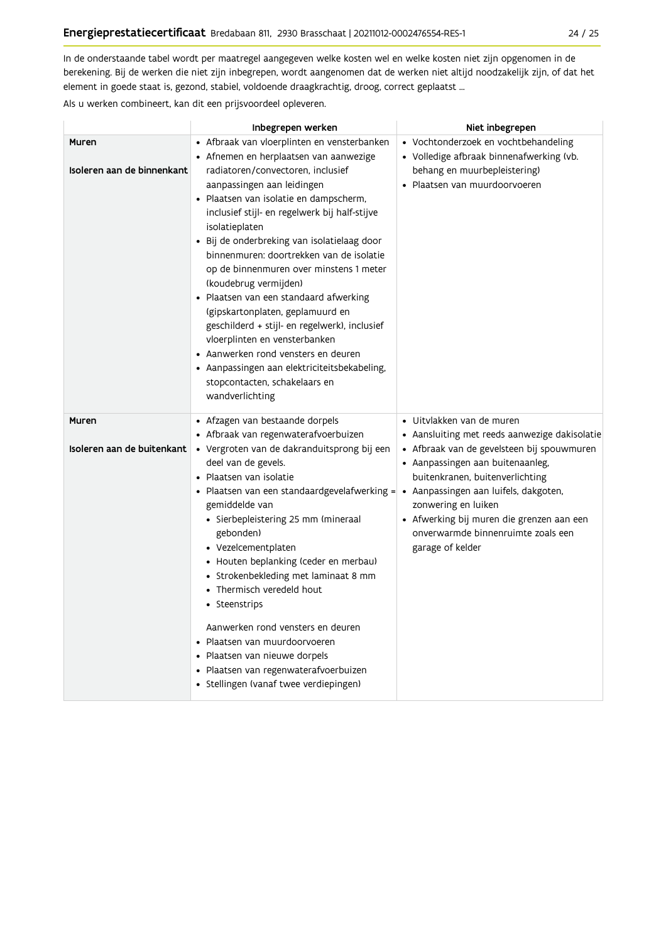In de onderstaande tabel wordt per maatregel aangegeven welke kosten wel en welke kosten niet zijn opgenomen in de berekening. Bij de werken die niet zijn inbegrepen, wordt aangenomen dat de werken niet altijd noodzakelijk zijn, of dat het element in goede staat is, gezond, stabiel, voldoende draagkrachtig, droog, correct geplaatst ...

Als u werken combineert, kan dit een prijsvoordeel opleveren.

|                                     | Inbegrepen werken                                                                                                                                                                                                                                                                                                                                                                                                                                                                                                                                                                                                                                                                                                                               | Niet inbegrepen                                                                                                                                                                                                                                                                                                                                                        |
|-------------------------------------|-------------------------------------------------------------------------------------------------------------------------------------------------------------------------------------------------------------------------------------------------------------------------------------------------------------------------------------------------------------------------------------------------------------------------------------------------------------------------------------------------------------------------------------------------------------------------------------------------------------------------------------------------------------------------------------------------------------------------------------------------|------------------------------------------------------------------------------------------------------------------------------------------------------------------------------------------------------------------------------------------------------------------------------------------------------------------------------------------------------------------------|
| Muren<br>Isoleren aan de binnenkant | • Afbraak van vloerplinten en vensterbanken<br>• Afnemen en herplaatsen van aanwezige<br>radiatoren/convectoren, inclusief<br>aanpassingen aan leidingen<br>• Plaatsen van isolatie en dampscherm,<br>inclusief stijl- en regelwerk bij half-stijve<br>isolatieplaten<br>· Bij de onderbreking van isolatielaag door<br>binnenmuren: doortrekken van de isolatie<br>op de binnenmuren over minstens 1 meter<br>(koudebrug vermijden)<br>• Plaatsen van een standaard afwerking<br>(gipskartonplaten, geplamuurd en<br>geschilderd + stijl- en regelwerk), inclusief<br>vloerplinten en vensterbanken<br>• Aanwerken rond vensters en deuren<br>• Aanpassingen aan elektriciteitsbekabeling,<br>stopcontacten, schakelaars en<br>wandverlichting | • Vochtonderzoek en vochtbehandeling<br>• Volledige afbraak binnenafwerking (vb.<br>behang en muurbepleistering)<br>• Plaatsen van muurdoorvoeren                                                                                                                                                                                                                      |
| Muren<br>Isoleren aan de buitenkant | • Afzagen van bestaande dorpels<br>· Afbraak van regenwaterafvoerbuizen<br>• Vergroten van de dakranduitsprong bij een<br>deel van de gevels.<br>• Plaatsen van isolatie<br>• Plaatsen van een standaardgevelafwerking =<br>gemiddelde van<br>· Sierbepleistering 25 mm (mineraal<br>gebonden)<br>• Vezelcementplaten<br>• Houten beplanking (ceder en merbau)<br>• Strokenbekleding met laminaat 8 mm<br>• Thermisch veredeld hout<br>• Steenstrips<br>Aanwerken rond vensters en deuren<br>• Plaatsen van muurdoorvoeren<br>· Plaatsen van nieuwe dorpels<br>• Plaatsen van regenwaterafvoerbuizen<br>· Stellingen (vanaf twee verdiepingen)                                                                                                  | · Uitvlakken van de muren<br>• Aansluiting met reeds aanwezige dakisolatie<br>• Afbraak van de gevelsteen bij spouwmuren<br>• Aanpassingen aan buitenaanleg,<br>buitenkranen, buitenverlichting<br>· Aanpassingen aan luifels, dakgoten,<br>zonwering en luiken<br>• Afwerking bij muren die grenzen aan een<br>onverwarmde binnenruimte zoals een<br>garage of kelder |